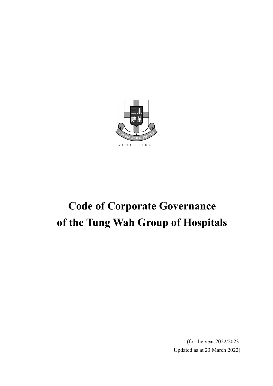

# **Code of Corporate Governance of the Tung Wah Group of Hospitals**

(for the year 2022/2023 Updated as at 23 March 2022)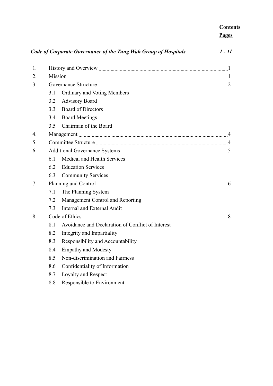| <b>Contents</b> |  |
|-----------------|--|
| Pages           |  |

| Code of Corporate Governance of the Tung Wah Group of Hospitals |                                                                                                                                                                                                                                     |                                                                                                                                                                                                                               | $1 - 11$ |  |
|-----------------------------------------------------------------|-------------------------------------------------------------------------------------------------------------------------------------------------------------------------------------------------------------------------------------|-------------------------------------------------------------------------------------------------------------------------------------------------------------------------------------------------------------------------------|----------|--|
| 1.                                                              |                                                                                                                                                                                                                                     |                                                                                                                                                                                                                               |          |  |
| 2.                                                              |                                                                                                                                                                                                                                     |                                                                                                                                                                                                                               |          |  |
| 3.                                                              | Governance Structure <u>manual communications</u> and all the structure of the structure of the structure of the structure of the structure of the structure of the structure of the structure of the structure of the structure of |                                                                                                                                                                                                                               |          |  |
|                                                                 | 3.1                                                                                                                                                                                                                                 | Ordinary and Voting Members                                                                                                                                                                                                   |          |  |
|                                                                 | 3.2                                                                                                                                                                                                                                 | <b>Advisory Board</b>                                                                                                                                                                                                         |          |  |
|                                                                 | 3.3                                                                                                                                                                                                                                 | <b>Board of Directors</b>                                                                                                                                                                                                     |          |  |
|                                                                 | 3.4                                                                                                                                                                                                                                 | <b>Board Meetings</b>                                                                                                                                                                                                         |          |  |
|                                                                 | 3.5                                                                                                                                                                                                                                 | Chairman of the Board                                                                                                                                                                                                         |          |  |
| $\overline{4}$ .                                                |                                                                                                                                                                                                                                     |                                                                                                                                                                                                                               |          |  |
| 5.                                                              |                                                                                                                                                                                                                                     |                                                                                                                                                                                                                               |          |  |
| 6.                                                              |                                                                                                                                                                                                                                     |                                                                                                                                                                                                                               |          |  |
|                                                                 | 6.1                                                                                                                                                                                                                                 | Medical and Health Services                                                                                                                                                                                                   |          |  |
|                                                                 | 6.2                                                                                                                                                                                                                                 | <b>Education Services</b>                                                                                                                                                                                                     |          |  |
|                                                                 | 6.3                                                                                                                                                                                                                                 | <b>Community Services</b>                                                                                                                                                                                                     |          |  |
| 7.                                                              |                                                                                                                                                                                                                                     | Planning and Control manuscription and Control manuscription of the control manuscription of the Planning and Control manuscription of the control of the control of the control of the control of the control of the control |          |  |
|                                                                 | 7.1                                                                                                                                                                                                                                 | The Planning System                                                                                                                                                                                                           |          |  |
|                                                                 | 7.2                                                                                                                                                                                                                                 | Management Control and Reporting                                                                                                                                                                                              |          |  |
|                                                                 | 7.3                                                                                                                                                                                                                                 | Internal and External Audit                                                                                                                                                                                                   |          |  |
| 8.                                                              | Code of Ethics 2000 Code of Ethics 2000 Code of Ethics 2000 Code of Ethics 2000 Code of Ethics 2000 Code and 2000 Code and 2000 Code and 3000 Code and 3000 Code and 3000 Code and 3000 Code and 3000 Code and 3000 Code and 3      |                                                                                                                                                                                                                               |          |  |
|                                                                 | 8.1                                                                                                                                                                                                                                 | Avoidance and Declaration of Conflict of Interest                                                                                                                                                                             |          |  |
|                                                                 | 8.2                                                                                                                                                                                                                                 | Integrity and Impartiality                                                                                                                                                                                                    |          |  |
|                                                                 | 8.3                                                                                                                                                                                                                                 | Responsibility and Accountability                                                                                                                                                                                             |          |  |
|                                                                 | 8.4                                                                                                                                                                                                                                 | <b>Empathy and Modesty</b>                                                                                                                                                                                                    |          |  |
|                                                                 | 8.5                                                                                                                                                                                                                                 | Non-discrimination and Fairness                                                                                                                                                                                               |          |  |
|                                                                 | 8.6                                                                                                                                                                                                                                 | Confidentiality of Information                                                                                                                                                                                                |          |  |
|                                                                 | 8.7                                                                                                                                                                                                                                 | Loyalty and Respect                                                                                                                                                                                                           |          |  |
|                                                                 | 8.8                                                                                                                                                                                                                                 | Responsible to Environment                                                                                                                                                                                                    |          |  |
|                                                                 |                                                                                                                                                                                                                                     |                                                                                                                                                                                                                               |          |  |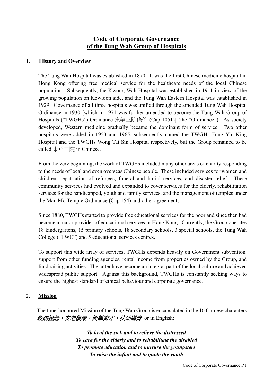# **Code of Corporate Governance of the Tung Wah Group of Hospitals**

# 1. **History and Overview**

The Tung Wah Hospital was established in 1870. It was the first Chinese medicine hospital in Hong Kong offering free medical service for the healthcare needs of the local Chinese population. Subsequently, the Kwong Wah Hospital was established in 1911 in view of the growing population on Kowloon side, and the Tung Wah Eastern Hospital was established in 1929. Governance of all three hospitals was unified through the amended Tung Wah Hospital Ordinance in 1930 [which in 1971 was further amended to become the Tung Wah Group of Hospitals ("TWGHs") Ordinance 東華三院條例 (Cap 1051)] (the "Ordinance"). As society developed, Western medicine gradually became the dominant form of service. Two other hospitals were added in 1953 and 1965, subsequently named the TWGHs Fung Yiu King Hospital and the TWGHs Wong Tai Sin Hospital respectively, but the Group remained to be called 東華三院 in Chinese.

From the very beginning, the work of TWGHs included many other areas of charity responding to the needs of local and even overseas Chinese people. These included services for women and children, repatriation of refugees, funeral and burial services, and disaster relief. These community services had evolved and expanded to cover services for the elderly, rehabilitation services for the handicapped, youth and family services, and the management of temples under the Man Mo Temple Ordinance (Cap 154) and other agreements.

Since 1880, TWGHs started to provide free educational services for the poor and since then had become a major provider of educational services in Hong Kong. Currently, the Group operates 18 kindergartens, 15 primary schools, 18 secondary schools, 3 special schools, the Tung Wah College ("TWC") and 5 educational services centres.

To support this wide array of services, TWGHs depends heavily on Government subvention, support from other funding agencies, rental income from properties owned by the Group, and fund raising activities. The latter have become an integral part of the local culture and achieved widespread public support. Against this background, TWGHs is constantly seeking ways to ensure the highest standard of ethical behaviour and corporate governance.

## 2. **Mission**

The time-honoured Mission of the Tung Wah Group is encapsulated in the 16 Chinese characters: 救病拯危,安老復康,興學育才,扶幼導青 or in English:

> *To heal the sick and to relieve the distressed To care for the elderly and to rehabilitate the disabled To promote education and to nurture the youngsters To raise the infant and to guide the youth*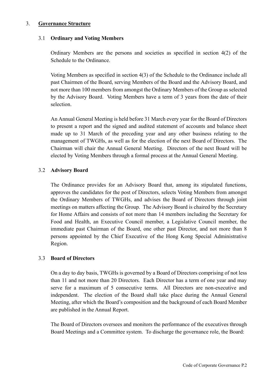#### 3. **Governance Structure**

#### 3.1 **Ordinary and Voting Members**

Ordinary Members are the persons and societies as specified in section 4(2) of the Schedule to the Ordinance.

Voting Members as specified in section 4(3) of the Schedule to the Ordinance include all past Chairmen of the Board, serving Members of the Board and the Advisory Board, and not more than 100 members from amongst the Ordinary Members of the Group as selected by the Advisory Board. Voting Members have a term of 3 years from the date of their selection.

An Annual General Meeting is held before 31 March every year for the Board of Directors to present a report and the signed and audited statement of accounts and balance sheet made up to 31 March of the preceding year and any other business relating to the management of TWGHs, as well as for the election of the next Board of Directors. The Chairman will chair the Annual General Meeting. Directors of the next Board will be elected by Voting Members through a formal process at the Annual General Meeting.

## 3.2 **Advisory Board**

The Ordinance provides for an Advisory Board that, among its stipulated functions, approves the candidates for the post of Directors, selects Voting Members from amongst the Ordinary Members of TWGHs, and advises the Board of Directors through joint meetings on matters affecting the Group. The Advisory Board is chaired by the Secretary for Home Affairs and consists of not more than 14 members including the Secretary for Food and Health, an Executive Council member, a Legislative Council member, the immediate past Chairman of the Board, one other past Director, and not more than 8 persons appointed by the Chief Executive of the Hong Kong Special Administrative Region.

## 3.3 **Board of Directors**

On a day to day basis, TWGHs is governed by a Board of Directors comprising of not less than 11 and not more than 20 Directors. Each Director has a term of one year and may serve for a maximum of 5 consecutive terms. All Directors are non-executive and independent. The election of the Board shall take place during the Annual General Meeting, after which the Board's composition and the background of each Board Member are published in the Annual Report.

The Board of Directors oversees and monitors the performance of the executives through Board Meetings and a Committee system. To discharge the governance role, the Board: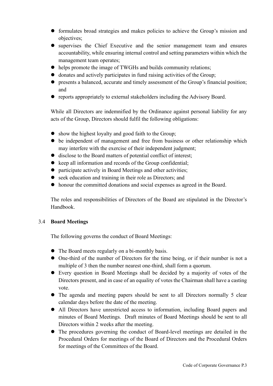- formulates broad strategies and makes policies to achieve the Group's mission and objectives;
- supervises the Chief Executive and the senior management team and ensures accountability, while ensuring internal control and setting parameters within which the management team operates;
- helps promote the image of TWGHs and builds community relations;
- donates and actively participates in fund raising activities of the Group;
- presents a balanced, accurate and timely assessment of the Group's financial position; and
- reports appropriately to external stakeholders including the Advisory Board.

While all Directors are indemnified by the Ordinance against personal liability for any acts of the Group, Directors should fulfil the following obligations:

- show the highest loyalty and good faith to the Group;
- be independent of management and free from business or other relationship which may interfere with the exercise of their independent judgment;
- disclose to the Board matters of potential conflict of interest;
- $\bullet$  keep all information and records of the Group confidential;
- participate actively in Board Meetings and other activities;
- seek education and training in their role as Directors; and
- honour the committed donations and social expenses as agreed in the Board.

The roles and responsibilities of Directors of the Board are stipulated in the Director's Handbook.

# 3.4 **Board Meetings**

The following governs the conduct of Board Meetings:

- The Board meets regularly on a bi-monthly basis.
- One-third of the number of Directors for the time being, or if their number is not a multiple of 3 then the number nearest one-third, shall form a quorum.
- Every question in Board Meetings shall be decided by a majority of votes of the Directors present, and in case of an equality of votes the Chairman shall have a casting vote.
- The agenda and meeting papers should be sent to all Directors normally 5 clear calendar days before the date of the meeting.
- All Directors have unrestricted access to information, including Board papers and minutes of Board Meetings. Draft minutes of Board Meetings should be sent to all Directors within 2 weeks after the meeting.
- The procedures governing the conduct of Board-level meetings are detailed in the Procedural Orders for meetings of the Board of Directors and the Procedural Orders for meetings of the Committees of the Board.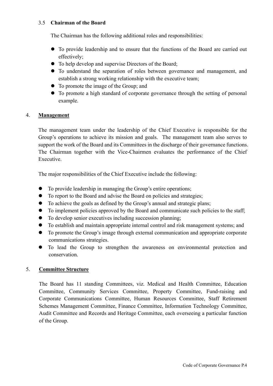## 3.5 **Chairman of the Board**

The Chairman has the following additional roles and responsibilities:

- To provide leadership and to ensure that the functions of the Board are carried out effectively;
- To help develop and supervise Directors of the Board;
- To understand the separation of roles between governance and management, and establish a strong working relationship with the executive team;
- To promote the image of the Group; and
- To promote a high standard of corporate governance through the setting of personal example.

# 4. **Management**

The management team under the leadership of the Chief Executive is responsible for the Group's operations to achieve its mission and goals. The management team also serves to support the work of the Board and its Committees in the discharge of their governance functions. The Chairman together with the Vice-Chairmen evaluates the performance of the Chief Executive.

The major responsibilities of the Chief Executive include the following:

- To provide leadership in managing the Group's entire operations;
- To report to the Board and advise the Board on policies and strategies;
- To achieve the goals as defined by the Group's annual and strategic plans;
- To implement policies approved by the Board and communicate such policies to the staff;
- To develop senior executives including succession planning;
- To establish and maintain appropriate internal control and risk management systems; and
- To promote the Group's image through external communication and appropriate corporate communications strategies.
- To lead the Group to strengthen the awareness on environmental protection and conservation.

# 5. **Committee Structure**

The Board has 11 standing Committees, viz. Medical and Health Committee, Education Committee, Community Services Committee, Property Committee, Fund-raising and Corporate Communications Committee, Human Resources Committee, Staff Retirement Schemes Management Committee, Finance Committee, Information Technology Committee, Audit Committee and Records and Heritage Committee, each overseeing a particular function of the Group.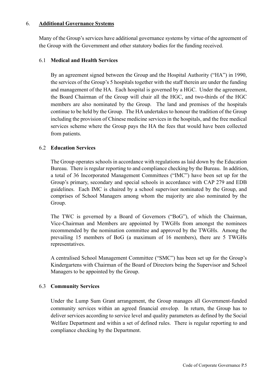#### 6. **Additional Governance Systems**

Many of the Group's services have additional governance systems by virtue of the agreement of the Group with the Government and other statutory bodies for the funding received.

## 6.1 **Medical and Health Services**

By an agreement signed between the Group and the Hospital Authority ("HA") in 1990, the services of the Group's 5 hospitals together with the staff therein are under the funding and management of the HA. Each hospital is governed by a HGC. Under the agreement, the Board Chairman of the Group will chair all the HGC, and two-thirds of the HGC members are also nominated by the Group. The land and premises of the hospitals continue to be held by the Group. The HA undertakes to honour the tradition of the Group including the provision of Chinese medicine services in the hospitals, and the free medical services scheme where the Group pays the HA the fees that would have been collected from patients.

## 6.2 **Education Services**

The Group operates schools in accordance with regulations as laid down by the Education Bureau. There is regular reporting to and compliance checking by the Bureau. In addition, a total of 36 Incorporated Management Committees ("IMC") have been set up for the Group's primary, secondary and special schools in accordance with CAP 279 and EDB guidelines. Each IMC is chaired by a school supervisor nominated by the Group, and comprises of School Managers among whom the majority are also nominated by the Group.

The TWC is governed by a Board of Governors ("BoG"), of which the Chairman, Vice-Chairman and Members are appointed by TWGHs from amongst the nominees recommended by the nomination committee and approved by the TWGHs. Among the prevailing 15 members of BoG (a maximum of 16 members), there are 5 TWGHs representatives.

A centralised School Management Committee ("SMC") has been set up for the Group's Kindergartens with Chairman of the Board of Directors being the Supervisor and School Managers to be appointed by the Group.

## 6.3 **Community Services**

Under the Lump Sum Grant arrangement, the Group manages all Government-funded community services within an agreed financial envelop. In return, the Group has to deliver services according to service level and quality parameters as defined by the Social Welfare Department and within a set of defined rules. There is regular reporting to and compliance checking by the Department.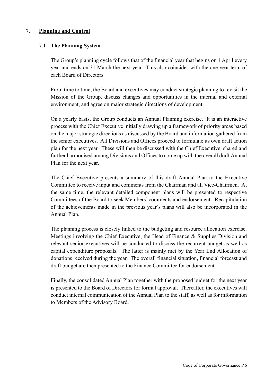## 7. **Planning and Control**

## 7.1 **The Planning System**

The Group's planning cycle follows that of the financial year that begins on 1 April every year and ends on 31 March the next year. This also coincides with the one-year term of each Board of Directors.

From time to time, the Board and executives may conduct strategic planning to revisit the Mission of the Group, discuss changes and opportunities in the internal and external environment, and agree on major strategic directions of development.

On a yearly basis, the Group conducts an Annual Planning exercise. It is an interactive process with the Chief Executive initially drawing up a framework of priority areas based on the major strategic directions as discussed by the Board and information gathered from the senior executives. All Divisions and Offices proceed to formulate its own draft action plan for the next year. These will then be discussed with the Chief Executive, shared and further harmonised among Divisions and Offices to come up with the overall draft Annual Plan for the next year.

The Chief Executive presents a summary of this draft Annual Plan to the Executive Committee to receive input and comments from the Chairman and all Vice-Chairmen. At the same time, the relevant detailed component plans will be presented to respective Committees of the Board to seek Members' comments and endorsement. Recapitulation of the achievements made in the previous year's plans will also be incorporated in the Annual Plan.

The planning process is closely linked to the budgeting and resource allocation exercise. Meetings involving the Chief Executive, the Head of Finance & Supplies Division and relevant senior executives will be conducted to discuss the recurrent budget as well as capital expenditure proposals. The latter is mainly met by the Year End Allocation of donations received during the year. The overall financial situation, financial forecast and draft budget are then presented to the Finance Committee for endorsement.

Finally, the consolidated Annual Plan together with the proposed budget for the next year is presented to the Board of Directors for formal approval. Thereafter, the executives will conduct internal communication of the Annual Plan to the staff, as well as for information to Members of the Advisory Board.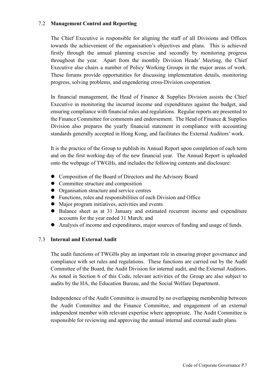## 7.2 **Management Control and Reporting**

The Chief Executive is responsible for aligning the staff of all Divisions and Offices towards the achievement of the organisation's objectives and plans. This is achieved firstly through the annual planning exercise and secondly by monitoring progress throughout the year. Apart from the monthly Division Heads' Meeting, the Chief Executive also chairs a number of Policy Working Groups in the major areas of work. These forums provide opportunities for discussing implementation details, monitoring progress, solving problems, and engendering cross-Division cooperation.

In financial management, the Head of Finance & Supplies Division assists the Chief Executive in monitoring the incurred income and expenditures against the budget, and ensuring compliance with financial rules and regulations. Regular reports are presented to the Finance Committee for comments and endorsement. The Head of Finance & Supplies Division also prepares the yearly financial statement in compliance with accounting standards generally accepted in Hong Kong, and facilitates the External Auditors' work.

It is the practice of the Group to publish its Annual Report upon completion of each term and on the first working day of the new financial year. The Annual Report is uploaded onto the webpage of TWGHs, and includes the following contents and disclosure:

- Composition of the Board of Directors and the Advisory Board
- Committee structure and composition
- Organisation structure and service centres
- Functions, roles and responsibilities of each Division and Office
- Major program initiatives, activities and events
- Balance sheet as at 31 January and estimated recurrent income and expenditure accounts for the year ended 31 March; and
- Analysis of income and expenditures, major sources of funding and usage of funds.

## 7.3 **Internal and External Audit**

The audit functions of TWGHs play an important role in ensuring proper governance and compliance with set rules and regulations. These functions are carried out by the Audit Committee of the Board, the Audit Division for internal audit, and the External Auditors. As noted in Section 6 of this Code, relevant activities of the Group are also subject to audits by the HA, the Education Bureau, and the Social Welfare Department.

Independence of the Audit Committee is ensured by no overlapping membership between the Audit Committee and the Finance Committee, and engagement of an external independent member with relevant expertise where appropriate. The Audit Committee is responsible for reviewing and approving the annual internal and external audit plans.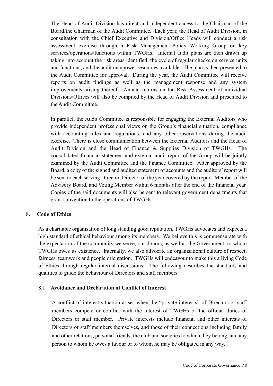The Head of Audit Division has direct and independent access to the Chairman of the Board/the Chairman of the Audit Committee. Each year, the Head of Audit Division, in consultation with the Chief Executive and Division/Office Heads will conduct a risk assessment exercise through a Risk Management Policy Working Group on key services/operations/functions within TWGHs. Internal audit plans are then drawn up taking into account the risk areas identified, the cycle of regular checks on service units and functions, and the audit manpower resources available. The plan is then presented to the Audit Committee for approval. During the year, the Audit Committee will receive reports on audit findings as well as the management response and any system improvements arising thereof. Annual returns on the Risk Assessment of individual Divisions/Offices will also be compiled by the Head of Audit Division and presented to the Audit Committee.

In parallel, the Audit Committee is responsible for engaging the External Auditors who provide independent professional views on the Group's financial situation, compliance with accounting rules and regulations, and any other observations during the audit exercise. There is close communication between the External Auditors and the Head of Audit Division and the Head of Finance & Supplies Division of TWGHs. The consolidated financial statement and external audit report of the Group will be jointly examined by the Audit Committee and the Finance Committee. After approved by the Board, a copy of the signed and audited statement of accounts and the auditors' report will be sent to each serving Director, Director of the year covered by the report, Member of the Advisory Board, and Voting Member within 6 months after the end of the financial year. Copies of the said documents will also be sent to relevant government departments that grant subvention to the operations of TWGHs.

#### 8. **Code of Ethics**

As a charitable organisation of long standing good reputation, TWGHs advocates and expects a high standard of ethical behaviour among its members. We believe this is commensurate with the expectation of the community we serve, our donors, as well as the Government, to whom TWGHs owes its existence. Internally, we also advocate an organisational culture of respect, fairness, teamwork and people orientation. TWGHs will endeavour to make this a living Code of Ethics through regular internal discussions. The following describes the standards and qualities to guide the behaviour of Directors and staff members.

#### 8.1 **Avoidance and Declaration of Conflict of Interest**

A conflict of interest situation arises when the "private interests" of Directors or staff members compete or conflict with the interest of TWGHs or the official duties of Directors or staff member. Private interests include financial and other interests of Directors or staff members themselves, and those of their connections including family and other relations, personal friends, the club and societies to which they belong, and any person to whom he owes a favour or to whom he may be obligated in any way.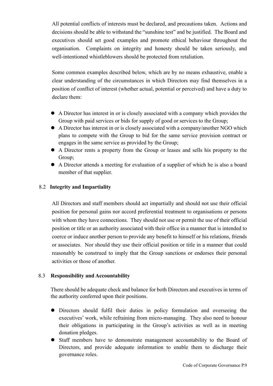All potential conflicts of interests must be declared, and precautions taken. Actions and decisions should be able to withstand the "sunshine test" and be justified. The Board and executives should set good examples and promote ethical behaviour throughout the organisation. Complaints on integrity and honesty should be taken seriously, and well-intentioned whistleblowers should be protected from retaliation.

Some common examples described below, which are by no means exhaustive, enable a clear understanding of the circumstances in which Directors may find themselves in a position of conflict of interest (whether actual, potential or perceived) and have a duty to declare them:

- A Director has interest in or is closely associated with a company which provides the Group with paid services or bids for supply of good or services to the Group;
- A Director has interest in or is closely associated with a company/another NGO which plans to compete with the Group to bid for the same service provision contract or engages in the same service as provided by the Group;
- A Director rents a property from the Group or leases and sells his property to the Group;
- A Director attends a meeting for evaluation of a supplier of which he is also a board member of that supplier.

# 8.2 **Integrity and Impartiality**

All Directors and staff members should act impartially and should not use their official position for personal gains nor accord preferential treatment to organisations or persons with whom they have connections. They should not use or permit the use of their official position or title or an authority associated with their office in a manner that is intended to coerce or induce another person to provide any benefit to himself or his relations, friends or associates. Nor should they use their official position or title in a manner that could reasonably be construed to imply that the Group sanctions or endorses their personal activities or those of another.

## 8.3 **Responsibility and Accountability**

There should be adequate check and balance for both Directors and executives in terms of the authority conferred upon their positions.

- Directors should fulfil their duties in policy formulation and overseeing the executives' work, while refraining from micro-managing. They also need to honour their obligations in participating in the Group's activities as well as in meeting donation pledges.
- Staff members have to demonstrate management accountability to the Board of Directors, and provide adequate information to enable them to discharge their governance roles.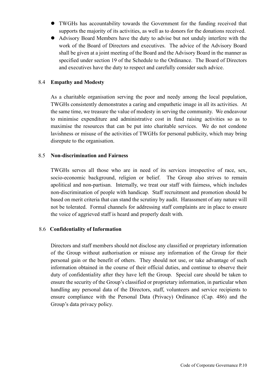- TWGHs has accountability towards the Government for the funding received that supports the majority of its activities, as well as to donors for the donations received.
- Advisory Board Members have the duty to advise but not unduly interfere with the work of the Board of Directors and executives. The advice of the Advisory Board shall be given at a joint meeting of the Board and the Advisory Board in the manner as specified under section 19 of the Schedule to the Ordinance. The Board of Directors and executives have the duty to respect and carefully consider such advice.

#### 8.4 **Empathy and Modesty**

As a charitable organisation serving the poor and needy among the local population, TWGHs consistently demonstrates a caring and empathetic image in all its activities. At the same time, we treasure the value of modesty in serving the community. We endeavour to minimise expenditure and administrative cost in fund raising activities so as to maximise the resources that can be put into charitable services. We do not condone lavishness or misuse of the activities of TWGHs for personal publicity, which may bring disrepute to the organisation.

#### 8.5 **Non-discrimination and Fairness**

TWGHs serves all those who are in need of its services irrespective of race, sex, socio-economic background, religion or belief. The Group also strives to remain apolitical and non-partisan. Internally, we treat our staff with fairness, which includes non-discrimination of people with handicap. Staff recruitment and promotion should be based on merit criteria that can stand the scrutiny by audit. Harassment of any nature will not be tolerated. Formal channels for addressing staff complaints are in place to ensure the voice of aggrieved staff is heard and properly dealt with.

## 8.6 **Confidentiality of Information**

Directors and staff members should not disclose any classified or proprietary information of the Group without authorisation or misuse any information of the Group for their personal gain or the benefit of others. They should not use, or take advantage of such information obtained in the course of their official duties, and continue to observe their duty of confidentiality after they have left the Group. Special care should be taken to ensure the security of the Group's classified or proprietary information, in particular when handling any personal data of the Directors, staff, volunteers and service recipients to ensure compliance with the Personal Data (Privacy) Ordinance (Cap. 486) and the Group's data privacy policy.